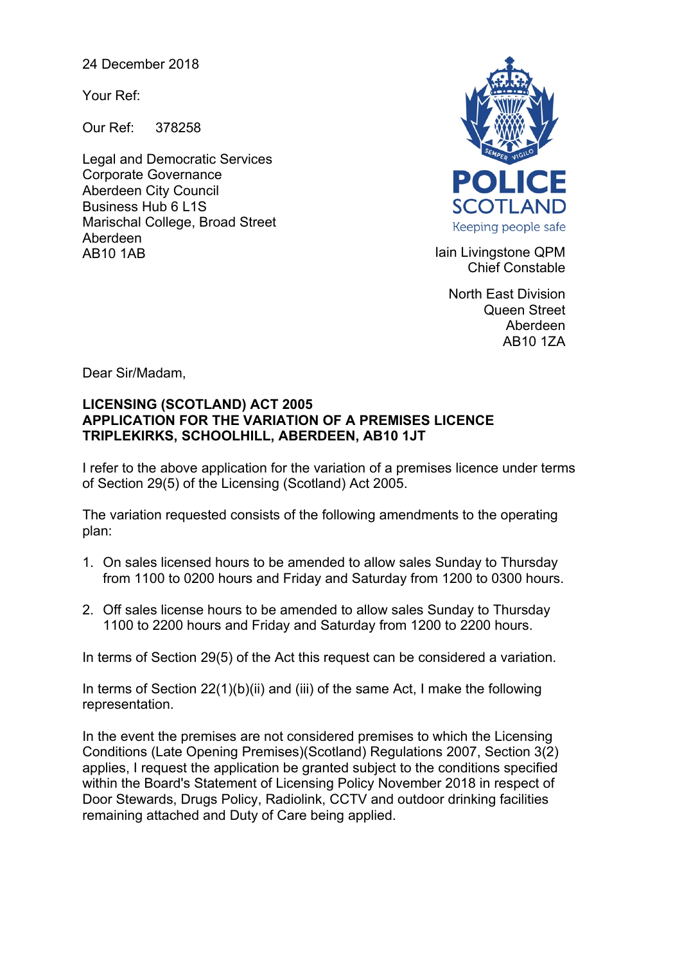24 December 2018

Your Ref:

Our Ref: 378258

Legal and Democratic Services Corporate Governance Aberdeen City Council Business Hub 6 L1S Marischal College, Broad Street Aberdeen AB10 1AB **Iain Livingstone QPM** 



Chief Constable

North East Division Queen Street Aberdeen AB10 1ZA

Dear Sir/Madam,

## **LICENSING (SCOTLAND) ACT 2005 APPLICATION FOR THE VARIATION OF A PREMISES LICENCE TRIPLEKIRKS, SCHOOLHILL, ABERDEEN, AB10 1JT**

I refer to the above application for the variation of a premises licence under terms of Section 29(5) of the Licensing (Scotland) Act 2005.

The variation requested consists of the following amendments to the operating plan:

- 1. On sales licensed hours to be amended to allow sales Sunday to Thursday from 1100 to 0200 hours and Friday and Saturday from 1200 to 0300 hours.
- 2. Off sales license hours to be amended to allow sales Sunday to Thursday 1100 to 2200 hours and Friday and Saturday from 1200 to 2200 hours.

In terms of Section 29(5) of the Act this request can be considered a variation.

In terms of Section 22(1)(b)(ii) and (iii) of the same Act, I make the following representation.

In the event the premises are not considered premises to which the Licensing Conditions (Late Opening Premises)(Scotland) Regulations 2007, Section 3(2) applies, I request the application be granted subject to the conditions specified within the Board's Statement of Licensing Policy November 2018 in respect of Door Stewards, Drugs Policy, Radiolink, CCTV and outdoor drinking facilities remaining attached and Duty of Care being applied.